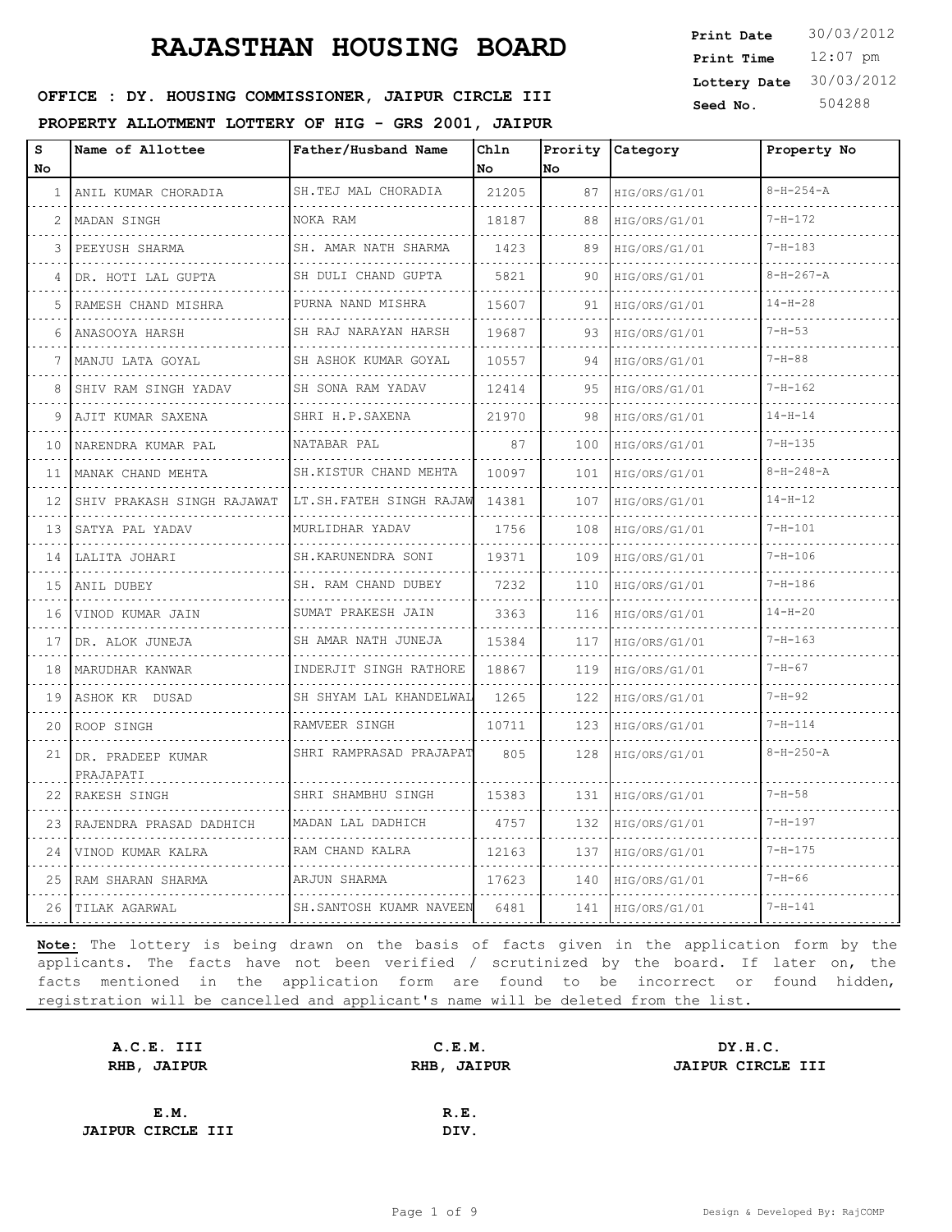12:07 pm **Print Time Print Date**  $30/03/2012$ **Lottery Date** 30/03/2012

#### **SEED OFFICE : DY. HOUSING COMMISSIONER, JAIPUR CIRCLE III** Seed No. 504288

**PROPERTY ALLOTMENT LOTTERY OF HIG - GRS 2001, JAIPUR**

| s<br>No      | Name of Allottee               | Father/Husband Name          | Ch1n<br>No. | No.      | Prority Category | Property No       |
|--------------|--------------------------------|------------------------------|-------------|----------|------------------|-------------------|
| $\mathbf{1}$ | ANIL KUMAR CHORADIA            | SH.TEJ MAL CHORADIA          | 21205       | 87       | HIG/ORS/G1/01    | $8 - H - 254 - A$ |
| 2            | MADAN SINGH                    | NOKA RAM                     | 18187       | 88       | HIG/ORS/G1/01    | $7 - H - 172$     |
| 3            | PEEYUSH SHARMA                 | SH. AMAR NATH SHARMA         | 1423        | 89       | HIG/ORS/G1/01    | $7 - H - 183$     |
| 4            | DR. HOTI LAL GUPTA             | SH DULI CHAND GUPTA<br>.     | 5821        | 90       | HIG/ORS/G1/01    | $8-H-267-A$       |
| 5            | RAMESH CHAND MISHRA            | PURNA NAND MISHRA<br>.       | 15607       | 91       | HIG/ORS/G1/01    | $14 - H - 28$     |
| 6            | ANASOOYA HARSH                 | SH RAJ NARAYAN HARSH         | 19687       | 93       | HIG/ORS/G1/01    | $7 - H - 53$      |
| 7            | MANJU LATA GOYAL               | SH ASHOK KUMAR GOYAL<br>.    | 10557       | 94       | HIG/ORS/G1/01    | $7 - H - 88$      |
| 8            | ISHIV RAM SINGH YADAV          | SH SONA RAM YADAV            | 12414       | 95       | HIG/ORS/G1/01    | $7 - H - 162$     |
| 9            | AJIT KUMAR SAXENA              | SHRI H.P.SAXENA              | 21970       | 98       | HIG/ORS/G1/01    | $14 - H - 14$     |
| 10           | NARENDRA KUMAR PAL             | NATABAR PAL                  | 87          | 100      | HIG/ORS/G1/01    | $7 - H - 135$     |
| 11           | MANAK CHAND MEHTA              | SH.KISTUR CHAND MEHTA        | 10097       | 101      | HIG/ORS/G1/01    | $8 - H - 248 - A$ |
| 12           | SHIV PRAKASH SINGH RAJAWAT     | LT.SH.FATEH SINGH RAJAW      | 14381       | 107      | HIG/ORS/G1/01    | $14 - H - 12$     |
| 13           | SATYA PAL YADAV                | MURLIDHAR YADAV<br>.         | 1756        | 108      | HIG/ORS/G1/01    | $7 - H - 101$     |
| 14           | LALITA JOHARI                  | SH.KARUNENDRA SONI<br>.      | 19371       | 109      | HIG/ORS/G1/01    | $7 - H - 106$     |
| 15           | ANIL DUBEY                     | SH. RAM CHAND DUBEY<br>.     | 7232        | 110      | HIG/ORS/G1/01    | $7 - H - 186$     |
| 16           | VINOD KUMAR JAIN               | SUMAT PRAKESH JAIN           | 3363        | 116      | HIG/ORS/G1/01    | $14 - H - 20$     |
| 17           | DR. ALOK JUNEJA                | SH AMAR NATH JUNEJA<br>.     | 15384       | 117<br>. | HIG/ORS/G1/01    | $7 - H - 163$     |
| 18           | MARUDHAR KANWAR                | INDERJIT SINGH RATHORE       | 18867       | 119      | HIG/ORS/G1/01    | $7 - H - 67$      |
| 19           | ASHOK KR DUSAD                 | SH SHYAM LAL KHANDELWAL<br>. | 1265        | 122      | HIG/ORS/G1/01    | $7 - H - 92$      |
| 20           | ROOP SINGH                     | RAMVEER SINGH                | 10711       | 123      | HIG/ORS/G1/01    | $7 - H - 114$     |
| 21           | DR. PRADEEP KUMAR<br>PRAJAPATI | SHRI RAMPRASAD PRAJAPAT      | 805         | 128      | HIG/ORS/G1/01    | $8 - H - 250 - A$ |
| 22           | RAKESH SINGH                   | SHRI SHAMBHU SINGH           | 15383       | 131      | HIG/ORS/G1/01    | $7 - H - 58$      |
| 23           | RAJENDRA PRASAD DADHICH        | MADAN LAL DADHICH            | 4757        | 132      | HIG/ORS/G1/01    | $7 - H - 197$     |
| 24           | VINOD KUMAR KALRA              | RAM CHAND KALRA              | 12163       | 137      | HIG/ORS/G1/01    | $7 - H - 175$     |
| 25.          | RAM SHARAN SHARMA              | ARJUN SHARMA                 | 17623       | 140      | HIG/ORS/G1/01    | $7 - H - 66$      |
| 26.          | TILAK AGARWAL                  | SH. SANTOSH KUAMR NAVEEN     | 6481        | 141      | HIG/ORS/G1/01    | $7 - H - 141$     |

| A.C.E. III               | C.E.M.             | DY.H.C.           |
|--------------------------|--------------------|-------------------|
| RHB, JAIPUR              | <b>RHB, JAIPUR</b> | JAIPUR CIRCLE III |
|                          |                    |                   |
| E.M.                     | R.E.               |                   |
| <b>JAIPUR CIRCLE III</b> | DIV.               |                   |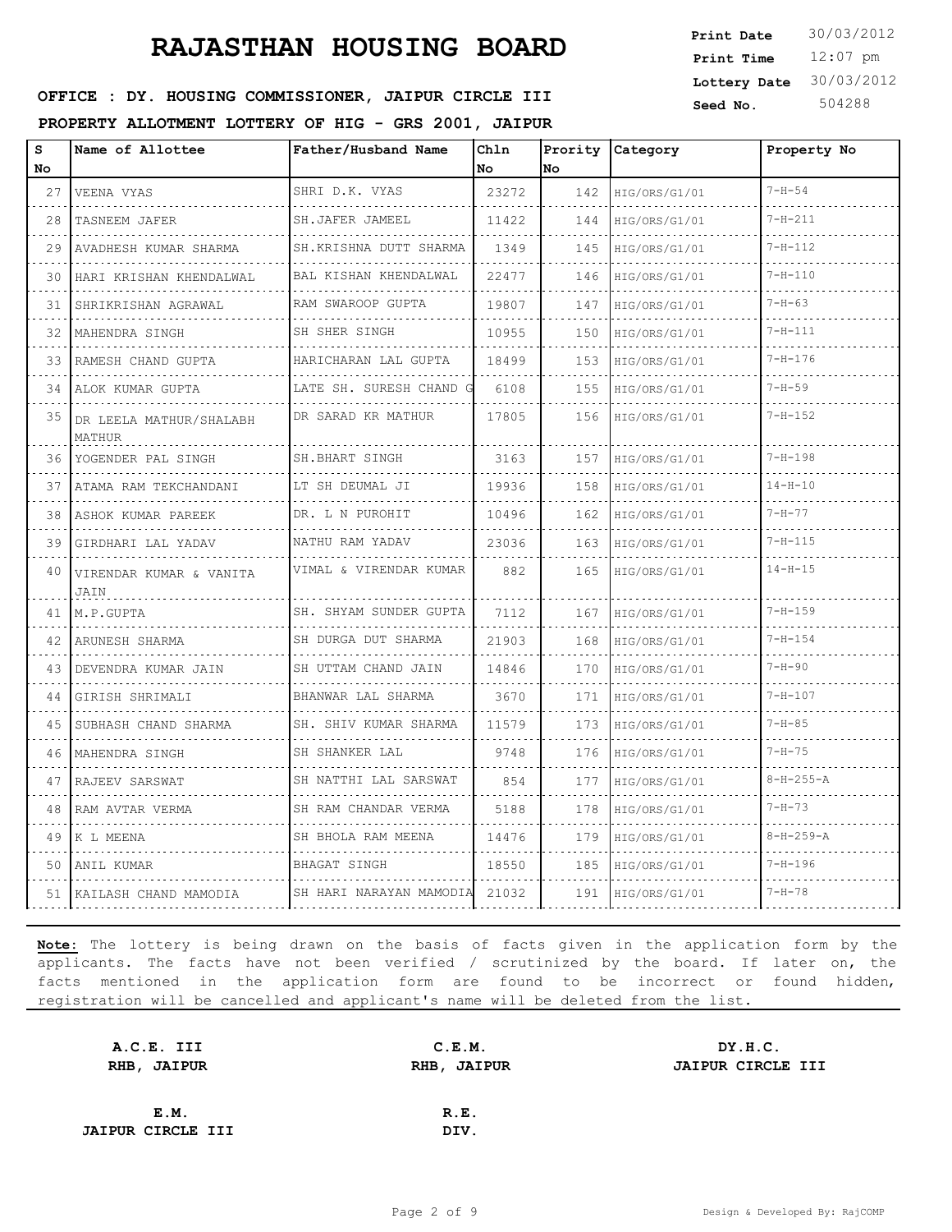12:07 pm **Print Time Print Date**  $30/03/2012$ **Lottery Date** 30/03/2012

#### **SEED OFFICE : DY. HOUSING COMMISSIONER, JAIPUR CIRCLE III** Seed No. 504288

**PROPERTY ALLOTMENT LOTTERY OF HIG - GRS 2001, JAIPUR**

| S<br>No. | Name of Allottee                   | Father/Husband Name                | Chln<br>No | Prority<br><b>No</b> | Category           | Property No       |
|----------|------------------------------------|------------------------------------|------------|----------------------|--------------------|-------------------|
| 27       | VEENA VYAS                         | SHRI D.K. VYAS                     | 23272      | 142                  | HIG/ORS/G1/01      | $7 - H - 54$      |
| .<br>28  | deses de segundar<br>TASNEEM JAFER | .<br>SH.JAFER JAMEEL               | 11422      | 144                  | .<br>HIG/ORS/G1/01 | $7 - H - 211$     |
| 29       | AVADHESH KUMAR SHARMA              | SH.KRISHNA DUTT SHARMA             | 1349       | 145                  | HIG/ORS/G1/01      | $7 - H - 112$     |
| 30       | HARI KRISHAN KHENDALWAL            | BAL KISHAN KHENDALWAL              | 22477      | 146                  | HIG/ORS/G1/01      | $7 - H - 110$     |
| 31       | SHRIKRISHAN AGRAWAL                | RAM SWAROOP GUPTA                  | 19807      | 147                  | HIG/ORS/G1/01      | $7 - H - 63$      |
| 32       | MAHENDRA SINGH                     | SH SHER SINGH                      | 10955      | 150                  | HIG/ORS/G1/01      | $7 - H - 111$     |
| 33       | RAMESH CHAND GUPTA                 | HARICHARAN LAL GUPTA               | 18499      | 153                  | HIG/ORS/G1/01      | $7 - H - 176$     |
| 34       | ALOK KUMAR GUPTA                   | LATE SH. SURESH CHAND              | 6108       | 155                  | HIG/ORS/G1/01      | $7 - H - 59$      |
| 35       | DR LEELA MATHUR/SHALABH<br>MATHUR  | DR SARAD KR MATHUR                 | 17805      | 156                  | HIG/ORS/G1/01      | $7 - H - 152$     |
| 36       | YOGENDER PAL SINGH                 | SH.BHART SINGH                     | 3163       | 157                  | HIG/ORS/G1/01      | $7 - H - 198$     |
| 37       | ATAMA RAM TEKCHANDANI              | LT SH DEUMAL JI                    | 19936      | 158                  | HIG/ORS/G1/01      | $14 - H - 10$     |
| 38       | ASHOK KUMAR PAREEK                 | DR. L N PUROHIT                    | 10496      | 162                  | HIG/ORS/G1/01      | $7 - H - 77$      |
| 39       | GIRDHARI LAL YADAV                 | NATHU RAM YADAV                    | 23036      | 163                  | HIG/ORS/G1/01      | $7 - H - 115$     |
| 40       | VIRENDAR KUMAR & VANITA<br>JAIN    | VIMAL & VIRENDAR KUMAR             | 882        | 165                  | HIG/ORS/G1/01      | $14 - H - 15$     |
| 41       | M.P.GUPTA                          | SH. SHYAM SUNDER GUPTA<br><u>.</u> | 7112       | 167                  | HIG/ORS/G1/01      | $7 - H - 159$     |
| 42       | ARUNESH SHARMA                     | SH DURGA DUT SHARMA                | 21903      | 168                  | HIG/ORS/G1/01      | $7 - H - 154$     |
| 43       | DEVENDRA KUMAR JAIN<br>.           | SH UTTAM CHAND JAIN                | 14846      | 170                  | HIG/ORS/G1/01      | $7 - H - 90$      |
| 44       | GIRISH SHRIMALI                    | BHANWAR LAL SHARMA                 | 3670       | 171                  | HIG/ORS/G1/01      | $7 - H - 107$     |
| 45       | SUBHASH CHAND SHARMA               | SH. SHIV KUMAR SHARMA              | 11579      | 173                  | HIG/ORS/G1/01      | $7 - H - 85$      |
| 46       | MAHENDRA SINGH                     | SH SHANKER LAL                     | 9748       | 176                  | HIG/ORS/G1/01      | $7 - H - 75$      |
| 47       | RAJEEV SARSWAT                     | SH NATTHI LAL SARSWAT              | 854        | 177                  | HIG/ORS/G1/01      | $8 - H - 255 - A$ |
| 48       | RAM AVTAR VERMA                    | SH RAM CHANDAR VERMA               | 5188       | 178                  | HIG/ORS/G1/01      | $7 - H - 73$      |
| 49       | K L MEENA                          | SH BHOLA RAM MEENA                 | 14476      | 179                  | HIG/ORS/G1/01      | $8 - H - 259 - A$ |
| 50       | ANIL KUMAR                         | BHAGAT SINGH                       | 18550      | 185                  | HIG/ORS/G1/01      | $7 - H - 196$     |
|          | 51   KAILASH CHAND MAMODIA         | SH HARI NARAYAN MAMODIA            | 21032      | 191                  | HIG/ORS/G1/01      | $7 - H - 78$      |

| A.C.E. III               | C.E.M.      | DY.H.C.                  |
|--------------------------|-------------|--------------------------|
| RHB, JAIPUR              | RHB, JAIPUR | <b>JAIPUR CIRCLE III</b> |
|                          |             |                          |
| E.M.                     | R.E.        |                          |
| <b>JAIPUR CIRCLE III</b> | DIV.        |                          |
|                          |             |                          |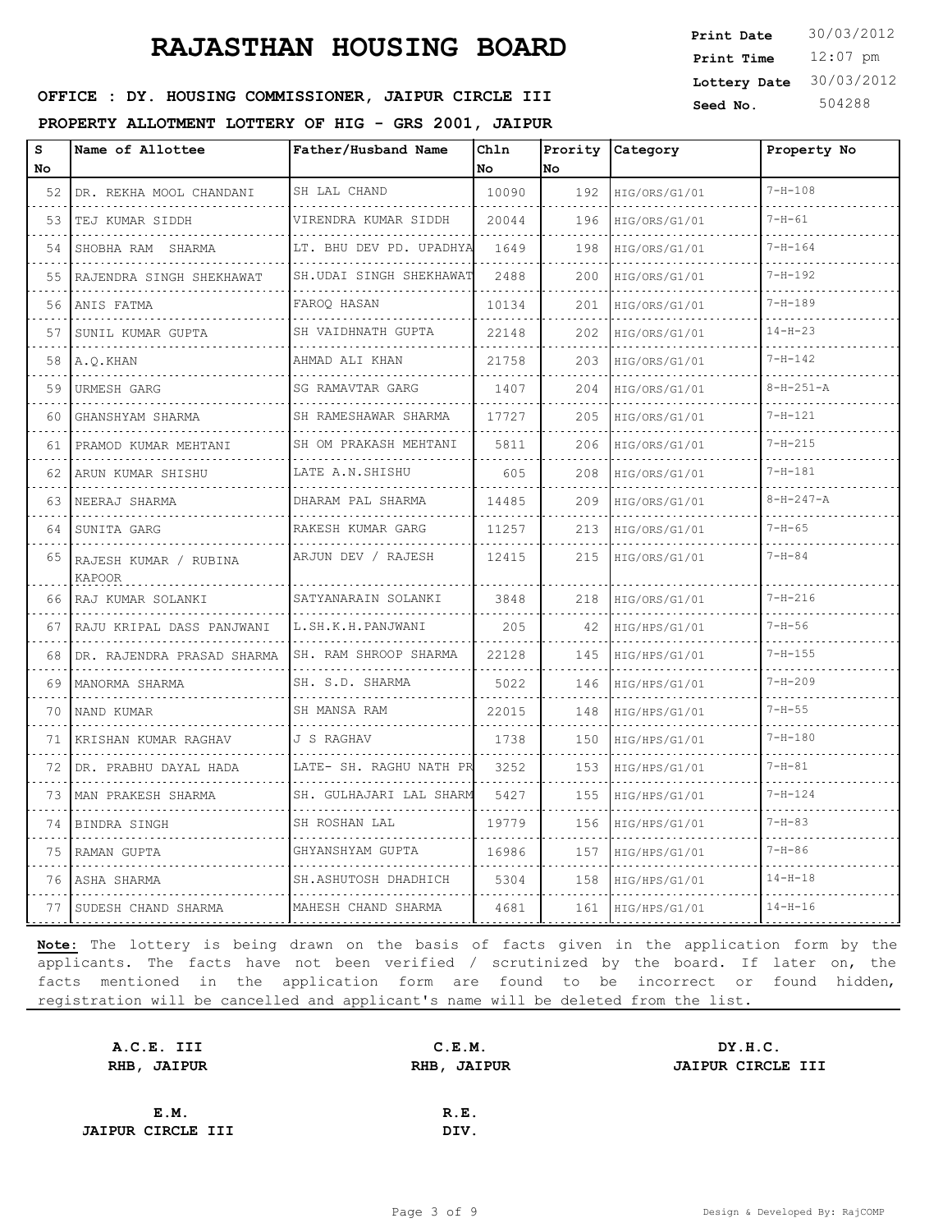12:07 pm **Print Time Print Date**  $30/03/2012$ **Lottery Date** 30/03/2012

#### **SEED OFFICE : DY. HOUSING COMMISSIONER, JAIPUR CIRCLE III** Seed No. 504288

**PROPERTY ALLOTMENT LOTTERY OF HIG - GRS 2001, JAIPUR**

| s<br>No | Name of Allottee                   | Father/Husband Name               | Chln<br>No | No  | Prority Category | Property No       |
|---------|------------------------------------|-----------------------------------|------------|-----|------------------|-------------------|
| 52 I    | DR. REKHA MOOL CHANDANI            | SH LAL CHAND                      | 10090      | 192 | HIG/ORS/G1/01    | $7 - H - 108$     |
| 53      | TEJ KUMAR SIDDH                    | VIRENDRA KUMAR SIDDH              | 20044      | 196 | HIG/ORS/G1/01    | $7 - H - 61$      |
| 54      | SHOBHA RAM SHARMA                  | LT. BHU DEV PD. UPADHYA           | 1649       | 198 | HIG/ORS/G1/01    | $7 - H - 164$     |
| 55      | RAJENDRA SINGH SHEKHAWAT           | SH. UDAI SINGH SHEKHAWAT          | 2488       | 200 | HIG/ORS/G1/01    | $7 - H - 192$     |
| 56      | ANIS FATMA                         | FAROO HASAN                       | 10134      | 201 | HIG/ORS/G1/01    | $7 - H - 189$     |
| 57      | SUNIL KUMAR GUPTA                  | SH VAIDHNATH GUPTA                | 22148      | 202 | HIG/ORS/G1/01    | $14 - H - 23$     |
| 58      | A.Q.KHAN                           | AHMAD ALI KHAN                    | 21758      | 203 | HIG/ORS/G1/01    | $7 - H - 142$     |
| 59      | URMESH GARG                        | SG RAMAVTAR GARG                  | 1407       | 204 | HIG/ORS/G1/01    | $8 - H - 251 - A$ |
| 60      | GHANSHYAM SHARMA                   | SH RAMESHAWAR SHARMA              | 17727      | 205 | HIG/ORS/G1/01    | $7 - H - 121$     |
| 61      | PRAMOD KUMAR MEHTANI               | SH OM PRAKASH MEHTANI<br><u>.</u> | 5811       | 206 | HIG/ORS/G1/01    | $7 - H - 215$     |
| 62      | ARUN KUMAR SHISHU                  | LATE A.N.SHISHU                   | 605        | 208 | HIG/ORS/G1/01    | $7 - H - 181$     |
| 63      | NEERAJ SHARMA<br>.                 | DHARAM PAL SHARMA<br>.            | 14485      | 209 | HIG/ORS/G1/01    | $8-H-247-A$       |
| 64      | SUNITA GARG                        | RAKESH KUMAR GARG<br>.            | 11257      | 213 | HIG/ORS/G1/01    | $7 - H - 65$      |
|         | 65 RAJESH KUMAR / RUBINA<br>KAPOOR | ARJUN DEV / RAJESH                | 12415      | 215 | HIG/ORS/G1/01    | $7 - H - 84$      |
|         | 66 RAJ KUMAR SOLANKI<br>.          | SATYANARAIN SOLANKI               | 3848       | 218 | HIG/ORS/G1/01    | $7 - H - 216$     |
| 67      | RAJU KRIPAL DASS PANJWANI          | L.SH.K.H.PANJWANI                 | 205        | 42  | HIG/HPS/G1/01    | $7 - H - 56$      |
| 68      | DR. RAJENDRA PRASAD SHARMA         | SH. RAM SHROOP SHARMA             | 22128      | 145 | HIG/HPS/G1/01    | $7 - H - 155$     |
| 69      | MANORMA SHARMA                     | SH. S.D. SHARMA<br>.              | 5022       | 146 | HIG/HPS/G1/01    | $7 - H - 209$     |
| 70      | NAND KUMAR                         | SH MANSA RAM                      | 22015      | 148 | HIG/HPS/G1/01    | $7 - H - 55$      |
| 71      | KRISHAN KUMAR RAGHAV               | J S RAGHAV                        | 1738       | 150 | HIG/HPS/G1/01    | $7 - H - 180$     |
| 72      | DR. PRABHU DAYAL HADA              | LATE- SH. RAGHU NATH PR           | 3252       | 153 | HIG/HPS/G1/01    | $7 - H - 81$      |
| 73      | MAN PRAKESH SHARMA                 | SH. GULHAJARI LAL SHARM           | 5427       | 155 | HIG/HPS/G1/01    | $7 - H - 124$     |
| 74      | BINDRA SINGH                       | SH ROSHAN LAL                     | 19779      | 156 | HIG/HPS/G1/01    | $7 - H - 83$      |
| 75      | RAMAN GUPTA                        | GHYANSHYAM GUPTA                  | 16986      | 157 | HIG/HPS/G1/01    | $7 - H - 86$      |
| 76      | ASHA SHARMA                        | SH.ASHUTOSH DHADHICH              | 5304       | 158 | HIG/HPS/G1/01    | $14 - H - 18$     |
| 77      | SUDESH CHAND SHARMA                | MAHESH CHAND SHARMA               | 4681       | 161 | HIG/HPS/G1/01    | $14 - H - 16$     |

| A.C.E. III               | C.E.M.             | DY.H.C.                  |
|--------------------------|--------------------|--------------------------|
| RHB, JAIPUR              | <b>RHB, JAIPUR</b> | <b>JAIPUR CIRCLE III</b> |
|                          |                    |                          |
| E.M.                     | R.E.               |                          |
| <b>JAIPUR CIRCLE III</b> | DIV.               |                          |
|                          |                    |                          |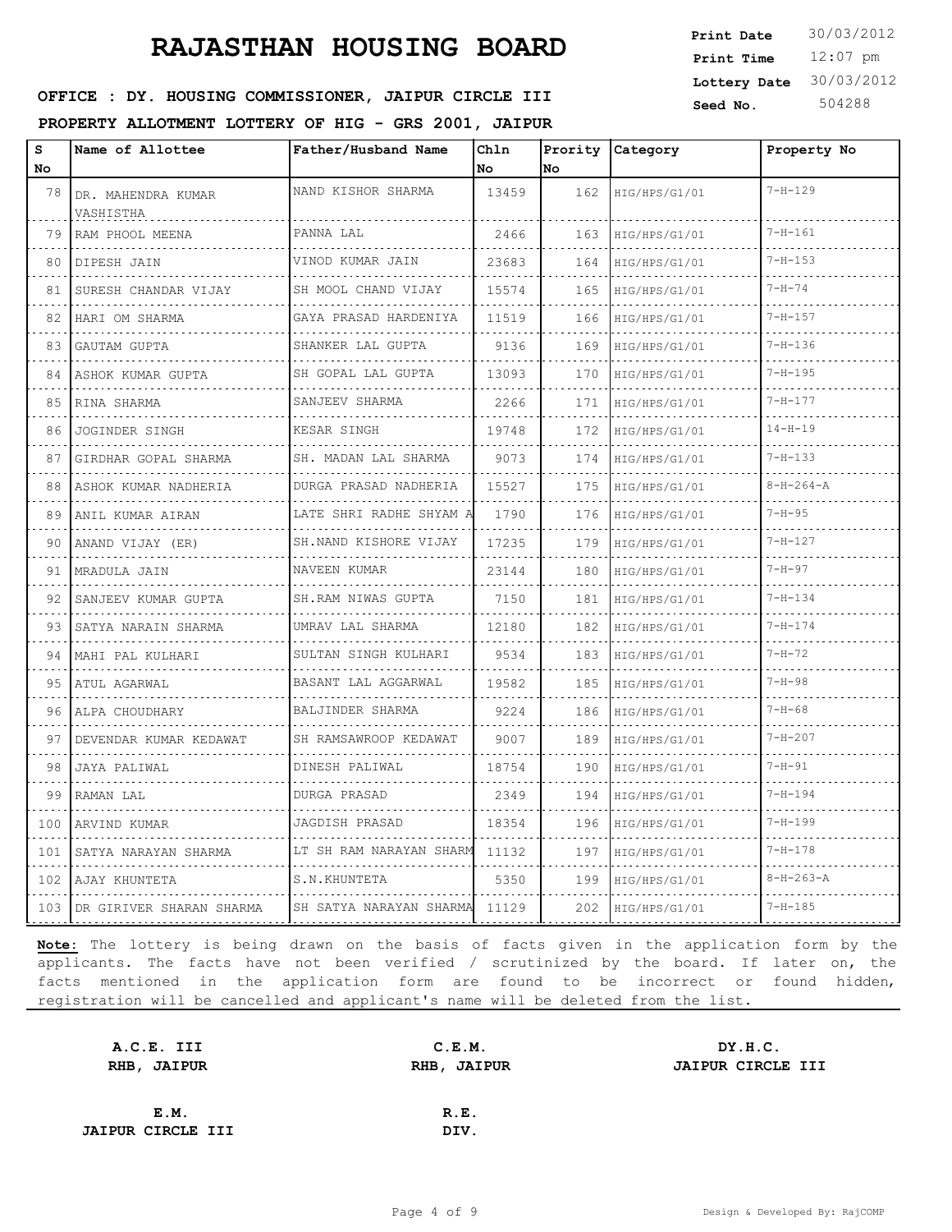12:07 pm **Print Time Print Date**  $30/03/2012$ **Lottery Date** 30/03/2012

#### **SEED OFFICE : DY. HOUSING COMMISSIONER, JAIPUR CIRCLE III** Seed No. 504288

**PROPERTY ALLOTMENT LOTTERY OF HIG - GRS 2001, JAIPUR**

| s<br>No | Name of Allottee                | Father/Husband Name               | Chln<br>No | <b>No</b> | Prority Category | Property No       |
|---------|---------------------------------|-----------------------------------|------------|-----------|------------------|-------------------|
| 78      | DR. MAHENDRA KUMAR<br>VASHISTHA | NAND KISHOR SHARMA                | 13459      | 162       | HIG/HPS/G1/01    | $7 - H - 129$     |
| 79      | RAM PHOOL MEENA                 | PANNA LAL<br>.                    | 2466       | 163       | HIG/HPS/G1/01    | $7 - H - 161$     |
| 80      | DIPESH JAIN                     | VINOD KUMAR JAIN<br>.             | 23683      | 164       | HIG/HPS/G1/01    | $7 - H - 153$     |
| 81      | SURESH CHANDAR VIJAY            | SH MOOL CHAND VIJAY               | 15574      | 165       | HIG/HPS/G1/01    | $7 - H - 74$      |
| 82      | HARI OM SHARMA<br>.             | GAYA PRASAD HARDENIYA<br>.        | 11519      | 166       | HIG/HPS/G1/01    | $7 - H - 157$     |
| 83      | GAUTAM GUPTA                    | SHANKER LAL GUPTA<br>.            | 9136       | 169       | HIG/HPS/G1/01    | $7 - H - 136$     |
| 84      | ASHOK KUMAR GUPTA               | SH GOPAL LAL GUPTA                | 13093      | 170       | HIG/HPS/G1/01    | $7 - H - 195$     |
| 85      | RINA SHARMA                     | SANJEEV SHARMA                    | 2266       | 171       | HIG/HPS/G1/01    | $7 - H - 177$     |
| 86      | JOGINDER SINGH                  | KESAR SINGH                       | 19748      | 172       | HIG/HPS/G1/01    | $14 - H - 19$     |
| 87      | GIRDHAR GOPAL SHARMA            | SH. MADAN LAL SHARMA<br>.         | 9073       | 174       | HIG/HPS/G1/01    | $7 - H - 133$     |
| 88      | ASHOK KUMAR NADHERIA            | DURGA PRASAD NADHERIA<br><u>.</u> | 15527      | 175       | HIG/HPS/G1/01    | $8 - H - 264 - A$ |
| 89      | ANIL KUMAR AIRAN                | LATE SHRI RADHE SHYAM A           | 1790       | 176       | HIG/HPS/G1/01    | $7 - H - 95$      |
| 90      | ANAND VIJAY (ER)                | SH.NAND KISHORE VIJAY             | 17235      | 179       | HIG/HPS/G1/01    | $7 - H - 127$     |
| 91      | MRADULA JAIN                    | NAVEEN KUMAR                      | 23144      | 180       | HIG/HPS/G1/01    | $7 - H - 97$      |
| 92      | SANJEEV KUMAR GUPTA<br>.        | SH.RAM NIWAS GUPTA                | 7150       | 181       | HIG/HPS/G1/01    | $7 - H - 134$     |
| 93      | SATYA NARAIN SHARMA             | UMRAV LAL SHARMA<br>.             | 12180      | 182       | HIG/HPS/G1/01    | $7 - H - 174$     |
| 94      | MAHI PAL KULHARI                | SULTAN SINGH KULHARI              | 9534       | 183       | HIG/HPS/G1/01    | $7 - H - 72$      |
| 95      | ATUL AGARWAL<br>.               | BASANT LAL AGGARWAL<br>.          | 19582      | 185       | HIG/HPS/G1/01    | $7 - H - 98$      |
| 96      | ALPA CHOUDHARY                  | BALJINDER SHARMA<br>.             | 9224       | 186       | HIG/HPS/G1/01    | $7 - H - 68$      |
| 97      | DEVENDAR KUMAR KEDAWAT          | SH RAMSAWROOP KEDAWAT<br>.        | 9007       | 189       | HIG/HPS/G1/01    | $7 - H - 207$     |
| 98      | JAYA PALIWAL                    | DINESH PALIWAL                    | 18754      | 190       | HIG/HPS/G1/01    | $7 - H - 91$      |
| 99      | RAMAN LAL                       | DURGA PRASAD                      | 2349       | 194       | HIG/HPS/G1/01    | $7 - H - 194$     |
| 100     | ARVIND KUMAR                    | JAGDISH PRASAD                    | 18354      | 196       | HIG/HPS/G1/01    | $7 - H - 199$     |
| 101     | SATYA NARAYAN SHARMA            | LT SH RAM NARAYAN SHARM           | 11132      | 197       | HIG/HPS/G1/01    | $7 - H - 178$     |
| 102     | AJAY KHUNTETA                   | S.N.KHUNTETA                      | 5350       | 199       | HIG/HPS/G1/01    | $8 - H - 263 - A$ |
| 103     | DR GIRIVER SHARAN SHARMA        | SH SATYA NARAYAN SHARMA           | 11129      | 202       | HIG/HPS/G1/01    | $7 - H - 185$     |

| A.C.E. III               | C.E.M.             | DY.H.C.           |
|--------------------------|--------------------|-------------------|
| RHB, JAIPUR              | <b>RHB, JAIPUR</b> | JAIPUR CIRCLE III |
|                          |                    |                   |
| E.M.                     | R.E.               |                   |
| <b>JAIPUR CIRCLE III</b> | DIV.               |                   |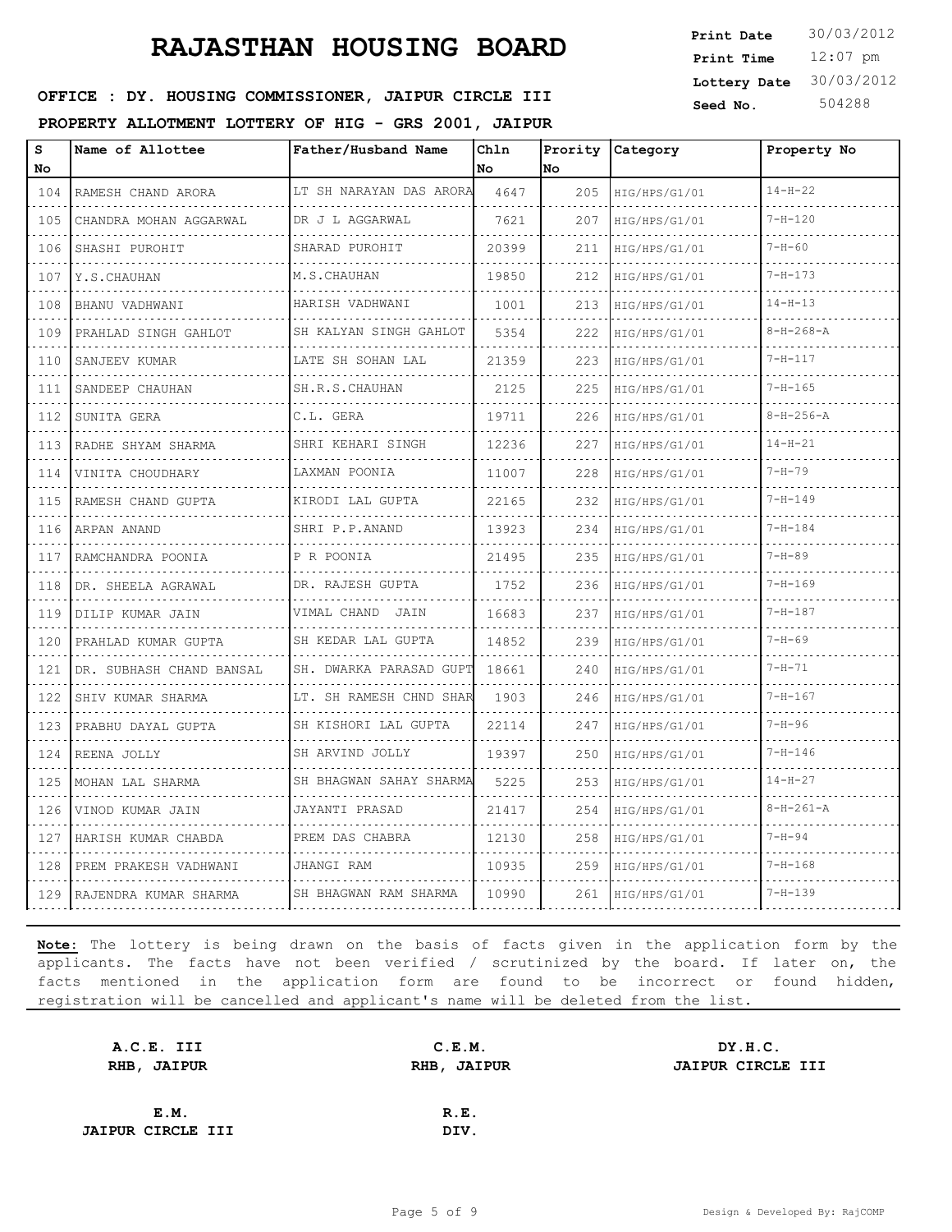12:07 pm **Print Time Print Date**  $30/03/2012$ **Lottery Date** 30/03/2012

#### **SEED OFFICE : DY. HOUSING COMMISSIONER, JAIPUR CIRCLE III** Seed No. 504288

**PROPERTY ALLOTMENT LOTTERY OF HIG - GRS 2001, JAIPUR**

| s<br>No                                                                                                                          | Name of Allottee           | Father/Husband Name     | Ch1n<br>l No | No  | Prority Category | Property No       |
|----------------------------------------------------------------------------------------------------------------------------------|----------------------------|-------------------------|--------------|-----|------------------|-------------------|
| 104                                                                                                                              | RAMESH CHAND ARORA         | LT SH NARAYAN DAS ARORA | 4647         | 205 | HIG/HPS/G1/01    | $14 - H - 22$     |
| 105                                                                                                                              | CHANDRA MOHAN AGGARWAL     | DR J L AGGARWAL         | 7621         | 207 | HIG/HPS/G1/01    | $7 - H - 120$     |
| 106                                                                                                                              | SHASHI PUROHIT             | SHARAD PUROHIT          | 20399        | 211 | HIG/HPS/G1/01    | $7 - H - 60$      |
| 107                                                                                                                              | Y.S.CHAUHAN                | M.S.CHAUHAN             | 19850        | 212 | HIG/HPS/G1/01    | $7 - H - 173$     |
| 108                                                                                                                              | BHANU VADHWANI             | HARISH VADHWANI         | 1001         | 213 | HIG/HPS/G1/01    | $14 - H - 13$     |
| 109                                                                                                                              | PRAHLAD SINGH GAHLOT       | SH KALYAN SINGH GAHLOT  | 5354         | 222 | HIG/HPS/G1/01    | $8 - H - 268 - A$ |
| 110                                                                                                                              | SANJEEV KUMAR              | LATE SH SOHAN LAL       | 21359        | 223 | HIG/HPS/G1/01    | $7 - H - 117$     |
| 111                                                                                                                              | SANDEEP CHAUHAN            | SH.R.S. CHAUHAN         | 2125         | 225 | HIG/HPS/G1/01    | $7 - H - 165$     |
| 112                                                                                                                              | SUNITA GERA                | C.L. GERA               | 19711        | 226 | HIG/HPS/G1/01    | $8 - H - 256 - A$ |
| 113                                                                                                                              | RADHE SHYAM SHARMA         | SHRI KEHARI SINGH       | 12236        | 227 | HIG/HPS/G1/01    | $14 - H - 21$     |
| 114                                                                                                                              | VINITA CHOUDHARY           | LAXMAN POONIA           | 11007        | 228 | HIG/HPS/G1/01    | $7 - H - 79$      |
| 115                                                                                                                              | RAMESH CHAND GUPTA         | KIRODI LAL GUPTA        | 22165        | 232 | HIG/HPS/G1/01    | $7 - H - 149$     |
| 116                                                                                                                              | ARPAN ANAND                | .<br>SHRI P.P.ANAND     | 13923        | 234 | HIG/HPS/G1/01    | $7 - H - 184$     |
| 117                                                                                                                              | RAMCHANDRA POONIA          | P R POONIA              | 21495        | 235 | HIG/HPS/G1/01    | $7 - H - 89$      |
| 118                                                                                                                              | DR. SHEELA AGRAWAL         | DR. RAJESH GUPTA        | 1752         | 236 | HIG/HPS/G1/01    | $7 - H - 169$     |
| 119                                                                                                                              | DILIP KUMAR JAIN           | VIMAL CHAND JAIN        | 16683        | 237 | HIG/HPS/G1/01    | $7 - H - 187$     |
| 120                                                                                                                              | PRAHLAD KUMAR GUPTA        | SH KEDAR LAL GUPTA      | 14852        | 239 | HIG/HPS/G1/01    | $7 - H - 69$      |
| $\sim$ $\sim$ $\sim$ $\sim$<br>121                                                                                               | DR. SUBHASH CHAND BANSAL   | SH. DWARKA PARASAD GUPT | 18661        | 240 | HIG/HPS/G1/01    | $7 - H - 71$      |
| .<br>122                                                                                                                         | SHIV KUMAR SHARMA          | LT. SH RAMESH CHND SHAR | 1903         | 246 | HIG/HPS/G1/01    | $7 - H - 167$     |
| 123                                                                                                                              | PRABHU DAYAL GUPTA         | SH KISHORI LAL GUPTA    | 22114        | 247 | HIG/HPS/G1/01    | $7 - H - 96$      |
| $- - - -$<br>124                                                                                                                 | REENA JOLLY                | SH ARVIND JOLLY         | 19397        | 250 | HIG/HPS/G1/01    | $7 - H - 146$     |
| $  -$<br>125                                                                                                                     | MOHAN LAL SHARMA           | SH BHAGWAN SAHAY SHARMA | 5225         | 253 | HIG/HPS/G1/01    | $14 - H - 27$     |
| 126                                                                                                                              | VINOD KUMAR JAIN           | JAYANTI PRASAD          | 21417        | 254 | HIG/HPS/G1/01    | $8 - H - 261 - A$ |
| $\frac{1}{2} \left( \frac{1}{2} \right) \left( \frac{1}{2} \right) \left( \frac{1}{2} \right) \left( \frac{1}{2} \right)$<br>127 | HARISH KUMAR CHABDA        | PREM DAS CHABRA         | 12130        | 258 | HIG/HPS/G1/01    | $7 - H - 94$      |
| $\sim$<br>128                                                                                                                    | .<br>PREM PRAKESH VADHWANI | JHANGI RAM              | 10935        | 259 | HIG/HPS/G1/01    | $7 - H - 168$     |
| 129                                                                                                                              | RAJENDRA KUMAR SHARMA      | SH BHAGWAN RAM SHARMA   | 10990        | 261 | HIG/HPS/G1/01    | $7 - H - 139$     |

| A.C.E. III               | C.E.M. | DY.H.C.                  |
|--------------------------|--------|--------------------------|
| RHB, JAIPUR              |        | <b>JAIPUR CIRCLE III</b> |
|                          |        |                          |
| E.M.                     | R.E.   |                          |
| <b>JAIPUR CIRCLE III</b> | DIV.   |                          |
|                          |        | RHB, JAIPUR              |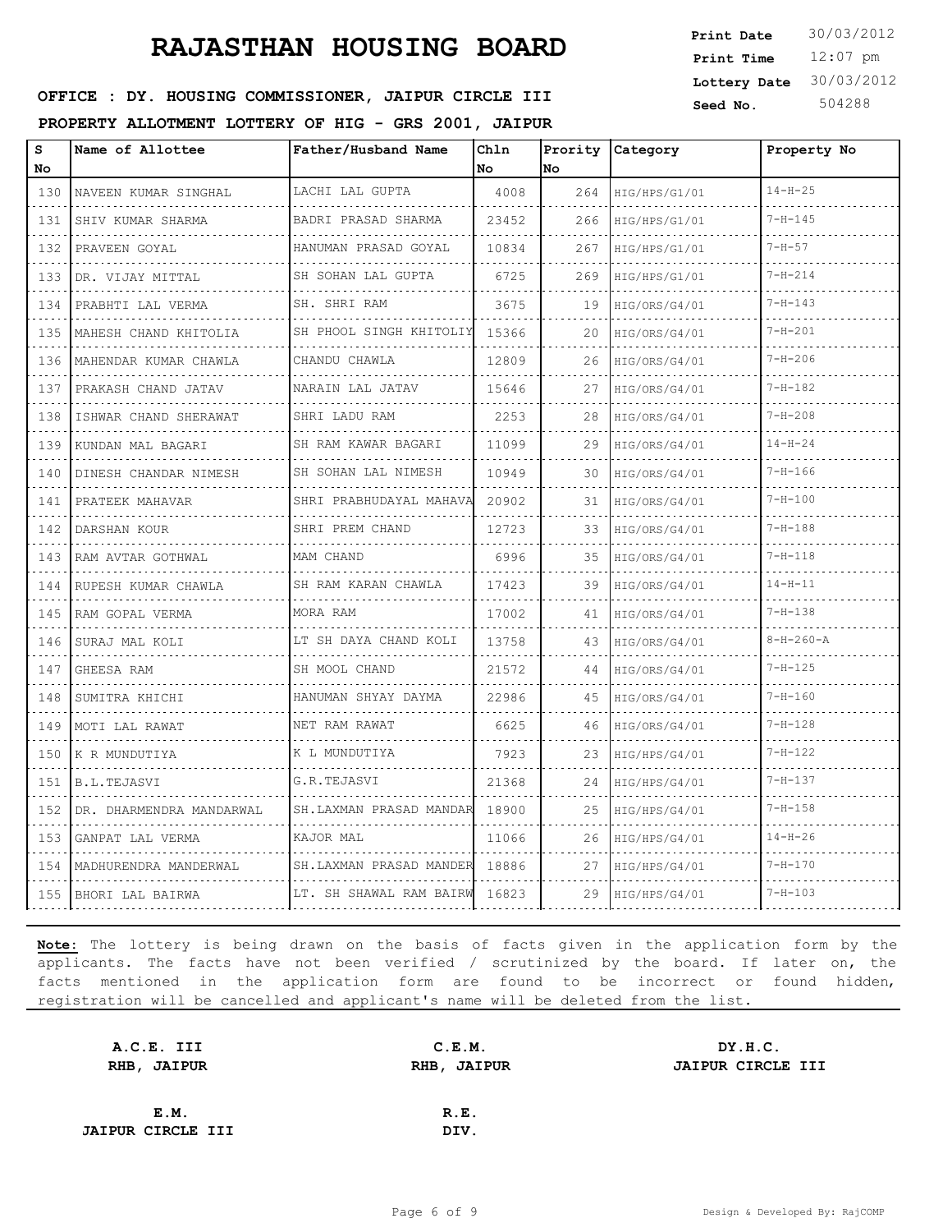12:07 pm **Print Time Print Date**  $30/03/2012$ **Lottery Date** 30/03/2012

#### **SEED OFFICE : DY. HOUSING COMMISSIONER, JAIPUR CIRCLE III** Seed No. 504288

**PROPERTY ALLOTMENT LOTTERY OF HIG - GRS 2001, JAIPUR**

| s<br>No | Name of Allottee           | Father/Husband Name     | Chln<br>No. | No  | Prority Category | Property No       |
|---------|----------------------------|-------------------------|-------------|-----|------------------|-------------------|
| 130     | NAVEEN KUMAR SINGHAL       | LACHI LAL GUPTA         | 4008        | 264 | HIG/HPS/G1/01    | $14 - H - 25$     |
| 131     | SHIV KUMAR SHARMA          | BADRI PRASAD SHARMA     | 23452       | 266 | HIG/HPS/G1/01    | $7 - H - 145$     |
| 132     | PRAVEEN GOYAL              | HANUMAN PRASAD GOYAL    | 10834       | 267 | HIG/HPS/G1/01    | $7 - H - 57$      |
| 133     | DR. VIJAY MITTAL           | SH SOHAN LAL GUPTA      | 6725        | 269 | HIG/HPS/G1/01    | $7 - H - 214$     |
| 134     | PRABHTI LAL VERMA          | SH. SHRI RAM            | 3675        | 19  | HIG/ORS/G4/01    | $7 - H - 143$     |
| 135     | MAHESH CHAND KHITOLIA      | SH PHOOL SINGH KHITOLIY | 15366       | 20  | HIG/ORS/G4/01    | $7 - H - 201$     |
| 136     | .<br>MAHENDAR KUMAR CHAWLA | CHANDU CHAWLA           | 12809       | 26  | HIG/ORS/G4/01    | $7 - H - 206$     |
| 137     | PRAKASH CHAND JATAV        | NARAIN LAL JATAV        | 15646       | 27  | HIG/ORS/G4/01    | $7 - H - 182$     |
| 138     | ISHWAR CHAND SHERAWAT      | SHRI LADU RAM           | 2253        | 28  | HIG/ORS/G4/01    | $7 - H - 208$     |
| 139     | .<br>KUNDAN MAL BAGARI     | SH RAM KAWAR BAGARI     | 11099       | 29  | HIG/ORS/G4/01    | $14 - H - 24$     |
| 140     | DINESH CHANDAR NIMESH      | SH SOHAN LAL NIMESH     | 10949       | 30  | HIG/ORS/G4/01    | $7 - H - 166$     |
| 141     | PRATEEK MAHAVAR            | SHRI PRABHUDAYAL MAHAVA | 20902       | 31  | HIG/ORS/G4/01    | $7 - H - 100$     |
| 142     | DARSHAN KOUR               | SHRI PREM CHAND         | 12723       | 33  | HIG/ORS/G4/01    | $7 - H - 188$     |
| 143     | RAM AVTAR GOTHWAL          | MAM CHAND               | 6996        | 35  | HIG/ORS/G4/01    | $7 - H - 118$     |
| 144     | RUPESH KUMAR CHAWLA        | SH RAM KARAN CHAWLA     | 17423       | 39  | HIG/ORS/G4/01    | $14 - H - 11$     |
| 145     | RAM GOPAL VERMA            | MORA RAM                | 17002       | 41  | HIG/ORS/G4/01    | $7 - H - 138$     |
| 146     | SURAJ MAL KOLI             | LT SH DAYA CHAND KOLI   | 13758       | 43  | HIG/ORS/G4/01    | $8 - H - 260 - A$ |
| 147     | GHEESA RAM                 | SH MOOL CHAND           | 21572       | 44  | HIG/ORS/G4/01    | $7 - H - 125$     |
| 148     | SUMITRA KHICHI             | HANUMAN SHYAY DAYMA     | 22986       | 45  | HIG/ORS/G4/01    | $7 - H - 160$     |
| 149     | MOTI LAL RAWAT             | NET RAM RAWAT           | 6625        | 46  | HIG/ORS/G4/01    | $7 - H - 128$     |
| 150     | K R MUNDUTIYA              | K L MUNDUTIYA           | 7923        | 23  | HIG/HPS/G4/01    | $7 - H - 122$     |
| 151     | B.L.TEJASVI                | G.R.TEJASVI             | 21368       | 24  | HIG/HPS/G4/01    | $7 - H - 137$     |
| 152     | DR. DHARMENDRA MANDARWAL   | SH.LAXMAN PRASAD MANDAR | 18900       | 25  | HIG/HPS/G4/01    | $7 - H - 158$     |
| 153     | GANPAT LAL VERMA           | KAJOR MAL               | 11066       | 26  | HIG/HPS/G4/01    | $14 - H - 26$     |
| 154     | MADHURENDRA MANDERWAL      | SH.LAXMAN PRASAD MANDER | 18886       | 27  | HIG/HPS/G4/01    | $7 - H - 170$     |
| 155     | BHORI LAL BAIRWA           | LT. SH SHAWAL RAM BAIRW | 16823       | 29  | HIG/HPS/G4/01    | $7 - H - 103$     |

| A.C.E. III               | C.E.M.      | DY.H.C.                  |
|--------------------------|-------------|--------------------------|
| RHB, JAIPUR              | RHB, JAIPUR | <b>JAIPUR CIRCLE III</b> |
|                          |             |                          |
| E.M.                     | R.E.        |                          |
| <b>JAIPUR CIRCLE III</b> | DIV.        |                          |
|                          |             |                          |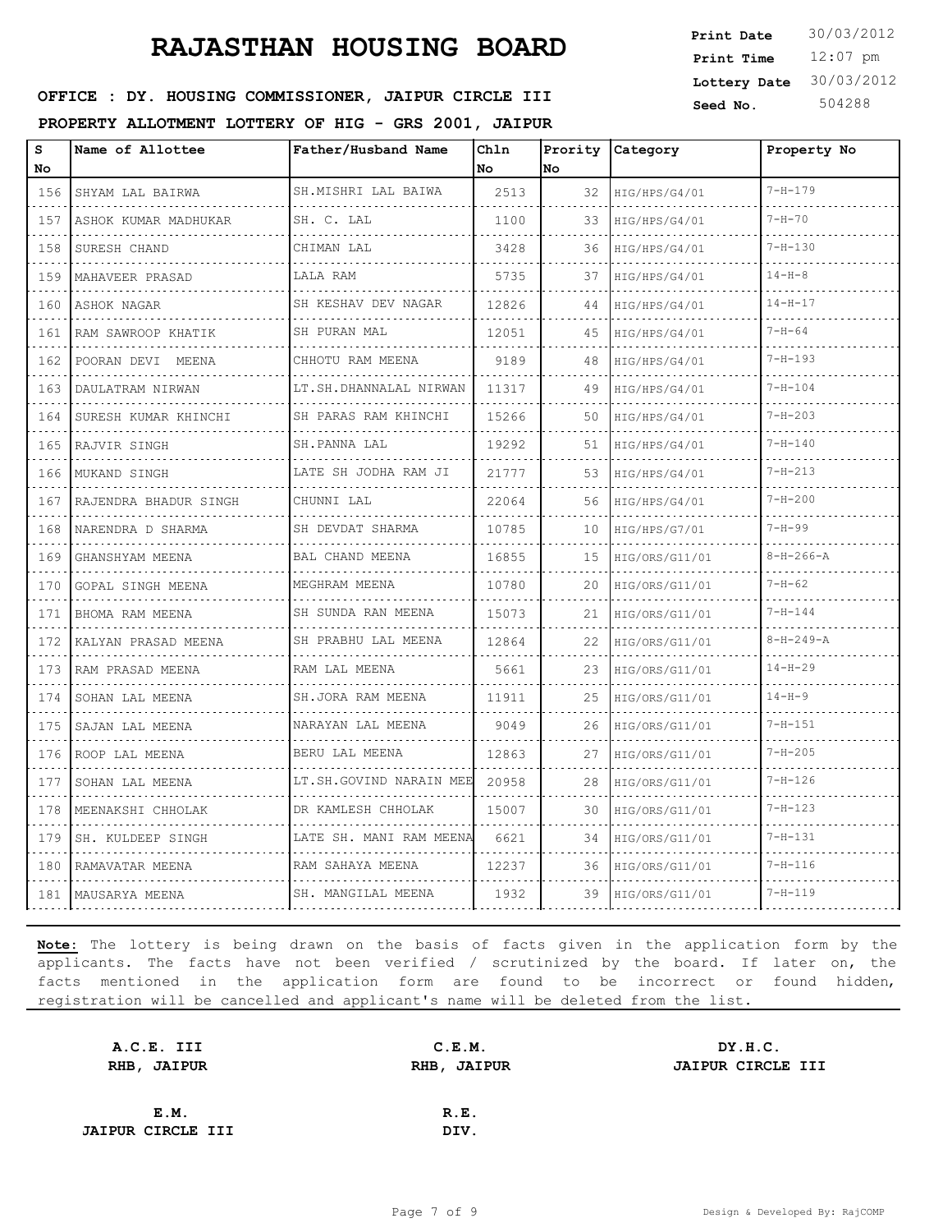# **RAJASTHAN HOUSING BOARD Print Date** 30/03/2012

**SEED OFFICE : DY. HOUSING COMMISSIONER, JAIPUR CIRCLE III** Seed No. 504288

**PROPERTY ALLOTMENT LOTTERY OF HIG - GRS 2001, JAIPUR**

| s<br>No        | Name of Allottee         | Father/Husband Name     | Chln<br>No | Prority<br>No | Category       | Property No       |
|----------------|--------------------------|-------------------------|------------|---------------|----------------|-------------------|
| 156            | SHYAM LAL BAIRWA         | SH.MISHRI LAL BAIWA     | 2513       | 32            | HIG/HPS/G4/01  | $7 - H - 179$     |
| 157            | ASHOK KUMAR MADHUKAR     | SH. C. LAL              | 1100       | 33            | HIG/HPS/G4/01  | $7 - H - 70$      |
| 158            | SURESH CHAND             | CHIMAN LAL              | 3428       | 36            | HIG/HPS/G4/01  | $7 - H - 130$     |
| 159            | MAHAVEER PRASAD          | LALA RAM                | 5735       | 37            | HIG/HPS/G4/01  | $14 - H - 8$      |
| 160            | ASHOK NAGAR              | SH KESHAV DEV NAGAR     | 12826      | 44            | HIG/HPS/G4/01  | $14 - H - 17$     |
| 161            | RAM SAWROOP KHATIK       | SH PURAN MAL            | 12051      | 45            | HIG/HPS/G4/01  | $7 - H - 64$      |
| 162            | POORAN DEVI MEENA        | CHHOTU RAM MEENA        | 9189       | 48            | HIG/HPS/G4/01  | $7 - H - 193$     |
| 163            | DAULATRAM NIRWAN         | LT.SH.DHANNALAL NIRWAN  | 11317      | 49            | HIG/HPS/G4/01  | $7 - H - 104$     |
| 164            | SURESH KUMAR KHINCHI     | SH PARAS RAM KHINCHI    | 15266      | 50            | HIG/HPS/G4/01  | $7 - H - 203$     |
| 165            | RAJVIR SINGH             | SH. PANNA LAL           | 19292      | 51            | HIG/HPS/G4/01  | $7 - H - 140$     |
| 166            | MUKAND SINGH             | LATE SH JODHA RAM JI    | 21777      | 53            | HIG/HPS/G4/01  | $7 - H - 213$     |
| 167            | RAJENDRA BHADUR SINGH    | CHUNNI LAL              | 22064      | 56            | HIG/HPS/G4/01  | $7 - H - 200$     |
| 168            | NARENDRA D SHARMA        | SH DEVDAT SHARMA        | 10785      | 10            | HIG/HPS/G7/01  | $7 - H - 99$      |
| 169            | GHANSHYAM MEENA<br>.     | BAL CHAND MEENA         | 16855      | 15            | HIG/ORS/G11/01 | $8 - H - 266 - A$ |
| 170            | <b>GOPAL SINGH MEENA</b> | MEGHRAM MEENA           | 10780      | 20            | HIG/ORS/G11/01 | $7 - H - 62$      |
| 171            | BHOMA RAM MEENA          | SH SUNDA RAN MEENA      | 15073      | 21            | HIG/ORS/G11/01 | $7 - H - 144$     |
| 172            | KALYAN PRASAD MEENA      | SH PRABHU LAL MEENA     | 12864      | 22            | HIG/ORS/G11/01 | $8 - H - 249 - A$ |
| 173            | RAM PRASAD MEENA         | RAM LAL MEENA           | 5661       | 23            | HIG/ORS/G11/01 | $14 - H - 29$     |
| 174<br>$- - -$ | SOHAN LAL MEENA          | SH.JORA RAM MEENA<br>.  | 11911      | 25            | HIG/ORS/G11/01 | $14 - H - 9$      |
| 175            | SAJAN LAL MEENA<br>.     | NARAYAN LAL MEENA<br>.  | 9049       | 26            | HIG/ORS/G11/01 | $7 - H - 151$     |
| 176            | ROOP LAL MEENA           | BERU LAL MEENA          | 12863      | 27            | HIG/ORS/G11/01 | $7 - H - 205$     |
| 177<br>22 L J  | SOHAN LAL MEENA          | LT.SH.GOVIND NARAIN MEE | 20958      | 28            | HIG/ORS/G11/01 | $7 - H - 126$     |
| 178            | MEENAKSHI CHHOLAK<br>.   | DR KAMLESH CHHOLAK<br>. | 15007      | 30            | HIG/ORS/G11/01 | $7 - H - 123$     |
| 179            | SH. KULDEEP SINGH        | LATE SH. MANI RAM MEENA | 6621       | 34            | HIG/ORS/G11/01 | $7 - H - 131$     |
| 180            | RAMAVATAR MEENA          | RAM SAHAYA MEENA        | 12237      | 36            | HIG/ORS/G11/01 | $7 - H - 116$     |
| 181            | MAUSARYA MEENA           | SH. MANGILAL MEENA      | 1932       | 39            | HIG/ORS/G11/01 | $7 - H - 119$     |

**Note:** The lottery is being drawn on the basis of facts given in the application form by the applicants. The facts have not been verified / scrutinized by the board. If later on, the facts mentioned in the application form are found to be incorrect or found hidden, registration will be cancelled and applicant's name will be deleted from the list.

| C.E.M.      | DY.H.C.                  |
|-------------|--------------------------|
| RHB, JAIPUR | <b>JAIPUR CIRCLE III</b> |
|             |                          |
| R.E.        |                          |
| DIV.        |                          |
|             |                          |

12:07 pm **Print Time Print Date Lottery Date** 30/03/2012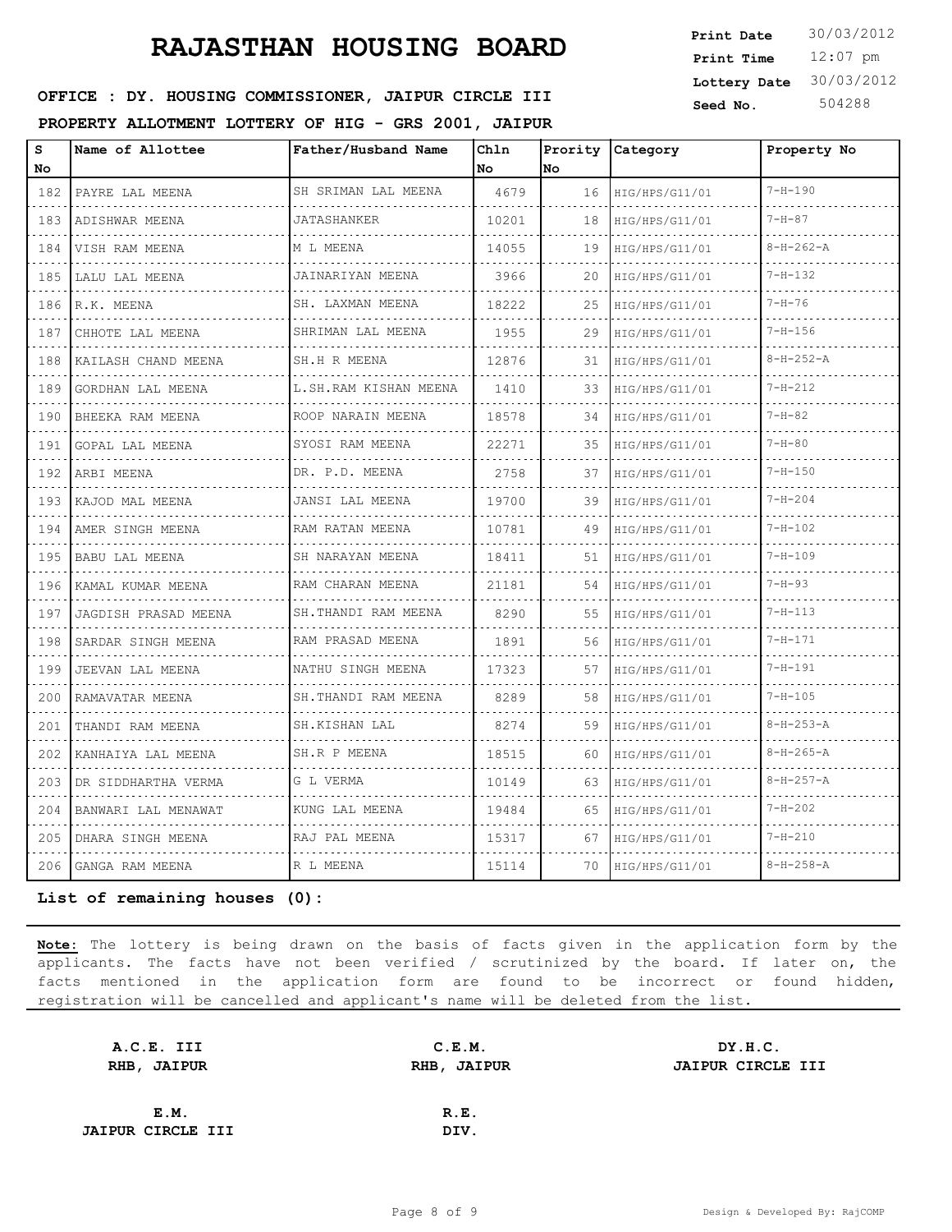**SEED OFFICE : DY. HOUSING COMMISSIONER, JAIPUR CIRCLE III** Seed No. 504288

**PROPERTY ALLOTMENT LOTTERY OF HIG - GRS 2001, JAIPUR**

| Print Date   | 30/03/2012 |
|--------------|------------|
| Print Time   | $12:07$ pm |
| Lottery Date | 30/03/2012 |
| Seed No      | 504288     |

| s<br>No                            | Name of Allottee      | Father/Husband Name    | Chln<br>No | lNo | Prority Category | Property No       |
|------------------------------------|-----------------------|------------------------|------------|-----|------------------|-------------------|
| 182                                | PAYRE LAL MEENA       | SH SRIMAN LAL MEENA    | 4679       | 16  | HIG/HPS/G11/01   | $7 - H - 190$     |
| 183                                | ADISHWAR MEENA        | <b>JATASHANKER</b>     | 10201      | 18  | HIG/HPS/G11/01   | $7 - H - 87$      |
| 184                                | VISH RAM MEENA        | M L MEENA              | 14055      | 19  | HIG/HPS/G11/01   | $8 - H - 262 - A$ |
| 185                                | LALU LAL MEENA        | JAINARIYAN MEENA       | 3966       | 20  | HIG/HPS/G11/01   | $7 - H - 132$     |
| 186                                | R.K. MEENA            | SH. LAXMAN MEENA       | 18222      | 25  | HIG/HPS/G11/01   | $7 - H - 76$      |
| 187                                | CHHOTE LAL MEENA      | .<br>SHRIMAN LAL MEENA | 1955       | 29  | HIG/HPS/G11/01   | $7 - H - 156$     |
| 188                                | KAILASH CHAND MEENA   | SH.H R MEENA           | 12876      | 31  | HIG/HPS/G11/01   | $8 - H - 252 - A$ |
| 189                                | GORDHAN LAL MEENA     | L.SH.RAM KISHAN MEENA  | 1410       | 33  | HIG/HPS/G11/01   | $7 - H - 212$     |
| $\sim$ $\sim$ $\sim$ $\sim$<br>190 | BHEEKA RAM MEENA      | ROOP NARAIN MEENA      | 18578      | 34  | HIG/HPS/G11/01   | $7 - H - 82$      |
| 191                                | GOPAL LAL MEENA       | SYOSI RAM MEENA        | 22271      | 35  | HIG/HPS/G11/01   | $7 - H - 80$      |
| 192                                | ARBI MEENA            | .<br>DR. P.D. MEENA    | 2758       | 37  | HIG/HPS/G11/01   | $7 - H - 150$     |
| 193                                | KAJOD MAL MEENA       | JANSI LAL MEENA        | 19700      | 39  | HIG/HPS/G11/01   | $7 - H - 204$     |
| 194                                | AMER SINGH MEENA      | RAM RATAN MEENA        | 10781      | 49  | HIG/HPS/G11/01   | $7 - H - 102$     |
| 195                                | <b>BABU LAL MEENA</b> | SH NARAYAN MEENA       | 18411      | 51  | HIG/HPS/G11/01   | $7 - H - 109$     |
| 196                                | KAMAL KUMAR MEENA     | RAM CHARAN MEENA<br>.  | 21181      | 54  | HIG/HPS/G11/01   | $7 - H - 93$      |
| 197                                | JAGDISH PRASAD MEENA  | SH.THANDI RAM MEENA    | 8290       | 55  | HIG/HPS/G11/01   | $7 - H - 113$     |
| 198                                | SARDAR SINGH MEENA    | RAM PRASAD MEENA       | 1891       | 56  | HIG/HPS/G11/01   | $7 - H - 171$     |
| 199                                | JEEVAN LAL MEENA      | NATHU SINGH MEENA      | 17323      | 57  | HIG/HPS/G11/01   | $7 - H - 191$     |
| 200                                | RAMAVATAR MEENA       | SH.THANDI RAM MEENA    | 8289       | 58  | HIG/HPS/G11/01   | $7 - H - 105$     |
| 201                                | THANDI RAM MEENA      | SH.KISHAN LAL          | 8274       | 59  | HIG/HPS/G11/01   | $8 - H - 253 - A$ |
| 202                                | KANHAIYA LAL MEENA    | SH.R P MEENA           | 18515      | 60  | HIG/HPS/G11/01   | $8 - H - 265 - A$ |
| 203                                | DR SIDDHARTHA VERMA   | G L VERMA              | 10149      | 63  | HIG/HPS/G11/01   | $8 - H - 257 - A$ |
| 204                                | BANWARI LAL MENAWAT   | KUNG LAL MEENA         | 19484      | 65  | HIG/HPS/G11/01   | $7 - H - 202$     |
| 205                                | DHARA SINGH MEENA     | RAJ PAL MEENA          | 15317      | 67  | HIG/HPS/G11/01   | $7 - H - 210$     |
| 206                                | GANGA RAM MEENA       | R L MEENA              | 15114      | 70  | HIG/HPS/G11/01   | $8 - H - 258 - A$ |
|                                    |                       |                        |            |     |                  |                   |

**List of remaining houses (0):** 

| A.C.E. III               | C.E.M.      | DY.H.C.                  |
|--------------------------|-------------|--------------------------|
| RHB, JAIPUR              | RHB, JAIPUR | <b>JAIPUR CIRCLE III</b> |
|                          |             |                          |
| E.M.                     | R.E.        |                          |
| <b>JAIPUR CIRCLE III</b> | DIV.        |                          |